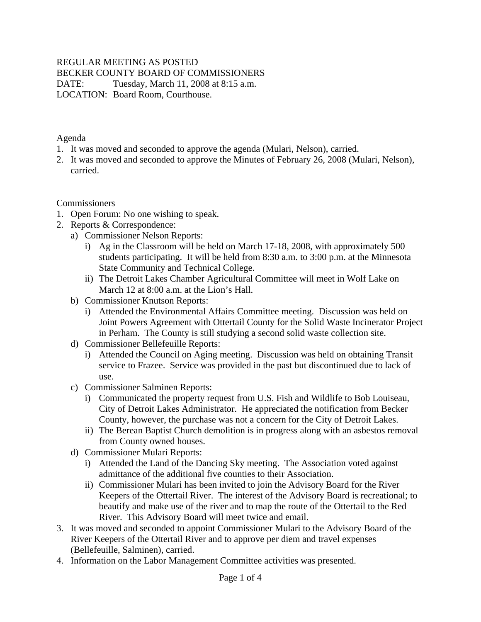## REGULAR MEETING AS POSTED

BECKER COUNTY BOARD OF COMMISSIONERS

DATE: Tuesday, March 11, 2008 at 8:15 a.m. LOCATION: Board Room, Courthouse.

Agenda

- 1. It was moved and seconded to approve the agenda (Mulari, Nelson), carried.
- 2. It was moved and seconded to approve the Minutes of February 26, 2008 (Mulari, Nelson), carried.

**Commissioners** 

- 1. Open Forum: No one wishing to speak.
- 2. Reports & Correspondence:
	- a) Commissioner Nelson Reports:
		- i) Ag in the Classroom will be held on March 17-18, 2008, with approximately 500 students participating. It will be held from 8:30 a.m. to 3:00 p.m. at the Minnesota State Community and Technical College.
		- ii) The Detroit Lakes Chamber Agricultural Committee will meet in Wolf Lake on March 12 at 8:00 a.m. at the Lion's Hall.
	- b) Commissioner Knutson Reports:
		- i) Attended the Environmental Affairs Committee meeting. Discussion was held on Joint Powers Agreement with Ottertail County for the Solid Waste Incinerator Project in Perham. The County is still studying a second solid waste collection site.
	- d) Commissioner Bellefeuille Reports:
		- i) Attended the Council on Aging meeting. Discussion was held on obtaining Transit service to Frazee. Service was provided in the past but discontinued due to lack of use.
	- c) Commissioner Salminen Reports:
		- i) Communicated the property request from U.S. Fish and Wildlife to Bob Louiseau, City of Detroit Lakes Administrator. He appreciated the notification from Becker County, however, the purchase was not a concern for the City of Detroit Lakes.
		- ii) The Berean Baptist Church demolition is in progress along with an asbestos removal from County owned houses.
	- d) Commissioner Mulari Reports:
		- i) Attended the Land of the Dancing Sky meeting. The Association voted against admittance of the additional five counties to their Association.
		- ii) Commissioner Mulari has been invited to join the Advisory Board for the River Keepers of the Ottertail River. The interest of the Advisory Board is recreational; to beautify and make use of the river and to map the route of the Ottertail to the Red River. This Advisory Board will meet twice and email.
- 3. It was moved and seconded to appoint Commissioner Mulari to the Advisory Board of the River Keepers of the Ottertail River and to approve per diem and travel expenses (Bellefeuille, Salminen), carried.
- 4. Information on the Labor Management Committee activities was presented.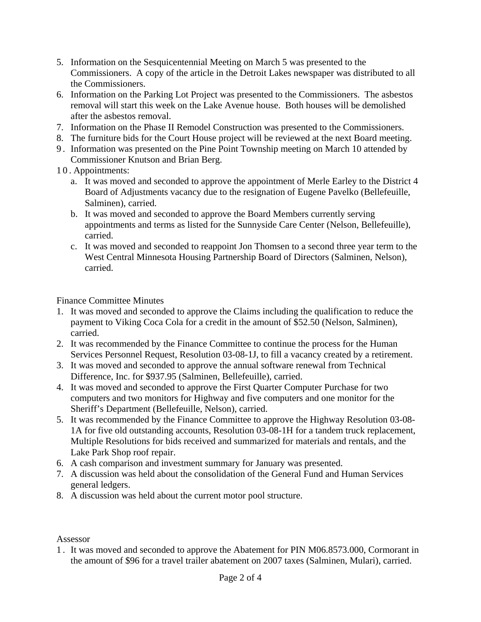- 5. Information on the Sesquicentennial Meeting on March 5 was presented to the Commissioners. A copy of the article in the Detroit Lakes newspaper was distributed to all the Commissioners.
- 6. Information on the Parking Lot Project was presented to the Commissioners. The asbestos removal will start this week on the Lake Avenue house. Both houses will be demolished after the asbestos removal.
- 7. Information on the Phase II Remodel Construction was presented to the Commissioners.
- 8. The furniture bids for the Court House project will be reviewed at the next Board meeting.
- 9 . Information was presented on the Pine Point Township meeting on March 10 attended by Commissioner Knutson and Brian Berg.
- 10. Appointments:
	- a. It was moved and seconded to approve the appointment of Merle Earley to the District 4 Board of Adjustments vacancy due to the resignation of Eugene Pavelko (Bellefeuille, Salminen), carried.
	- b. It was moved and seconded to approve the Board Members currently serving appointments and terms as listed for the Sunnyside Care Center (Nelson, Bellefeuille), carried.
	- c. It was moved and seconded to reappoint Jon Thomsen to a second three year term to the West Central Minnesota Housing Partnership Board of Directors (Salminen, Nelson), carried.

Finance Committee Minutes

- 1. It was moved and seconded to approve the Claims including the qualification to reduce the payment to Viking Coca Cola for a credit in the amount of \$52.50 (Nelson, Salminen), carried.
- 2. It was recommended by the Finance Committee to continue the process for the Human Services Personnel Request, Resolution 03-08-1J, to fill a vacancy created by a retirement.
- 3. It was moved and seconded to approve the annual software renewal from Technical Difference, Inc. for \$937.95 (Salminen, Bellefeuille), carried.
- 4. It was moved and seconded to approve the First Quarter Computer Purchase for two computers and two monitors for Highway and five computers and one monitor for the Sheriff's Department (Bellefeuille, Nelson), carried.
- 5. It was recommended by the Finance Committee to approve the Highway Resolution 03-08- 1A for five old outstanding accounts, Resolution 03-08-1H for a tandem truck replacement, Multiple Resolutions for bids received and summarized for materials and rentals, and the Lake Park Shop roof repair.
- 6. A cash comparison and investment summary for January was presented.
- 7. A discussion was held about the consolidation of the General Fund and Human Services general ledgers.
- 8. A discussion was held about the current motor pool structure.

## Assessor

1 . It was moved and seconded to approve the Abatement for PIN M06.8573.000, Cormorant in the amount of \$96 for a travel trailer abatement on 2007 taxes (Salminen, Mulari), carried.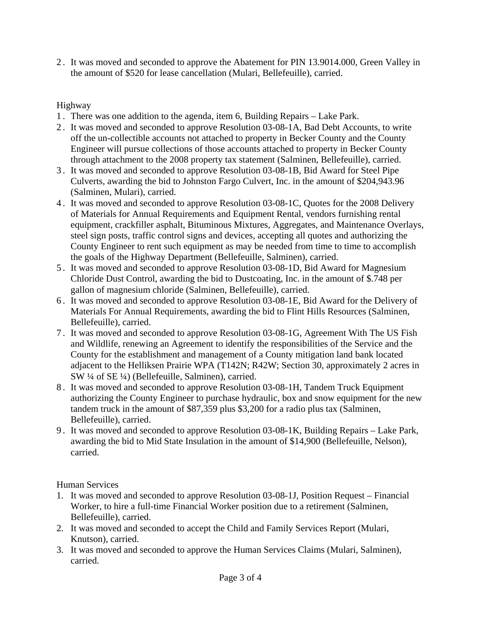2 . It was moved and seconded to approve the Abatement for PIN 13.9014.000, Green Valley in the amount of \$520 for lease cancellation (Mulari, Bellefeuille), carried.

## Highway

- 1 . There was one addition to the agenda, item 6, Building Repairs Lake Park.
- 2 . It was moved and seconded to approve Resolution 03-08-1A, Bad Debt Accounts, to write off the un-collectible accounts not attached to property in Becker County and the County Engineer will pursue collections of those accounts attached to property in Becker County through attachment to the 2008 property tax statement (Salminen, Bellefeuille), carried.
- 3 . It was moved and seconded to approve Resolution 03-08-1B, Bid Award for Steel Pipe Culverts, awarding the bid to Johnston Fargo Culvert, Inc. in the amount of \$204,943.96 (Salminen, Mulari), carried.
- 4 . It was moved and seconded to approve Resolution 03-08-1C, Quotes for the 2008 Delivery of Materials for Annual Requirements and Equipment Rental, vendors furnishing rental equipment, crackfiller asphalt, Bituminous Mixtures, Aggregates, and Maintenance Overlays, steel sign posts, traffic control signs and devices, accepting all quotes and authorizing the County Engineer to rent such equipment as may be needed from time to time to accomplish the goals of the Highway Department (Bellefeuille, Salminen), carried.
- 5 . It was moved and seconded to approve Resolution 03-08-1D, Bid Award for Magnesium Chloride Dust Control, awarding the bid to Dustcoating, Inc. in the amount of \$.748 per gallon of magnesium chloride (Salminen, Bellefeuille), carried.
- 6 . It was moved and seconded to approve Resolution 03-08-1E, Bid Award for the Delivery of Materials For Annual Requirements, awarding the bid to Flint Hills Resources (Salminen, Bellefeuille), carried.
- 7 . It was moved and seconded to approve Resolution 03-08-1G, Agreement With The US Fish and Wildlife, renewing an Agreement to identify the responsibilities of the Service and the County for the establishment and management of a County mitigation land bank located adjacent to the Helliksen Prairie WPA (T142N; R42W; Section 30, approximately 2 acres in SW ¼ of SE ¼) (Bellefeuille, Salminen), carried.
- 8 . It was moved and seconded to approve Resolution 03-08-1H, Tandem Truck Equipment authorizing the County Engineer to purchase hydraulic, box and snow equipment for the new tandem truck in the amount of \$87,359 plus \$3,200 for a radio plus tax (Salminen, Bellefeuille), carried.
- 9 . It was moved and seconded to approve Resolution 03-08-1K, Building Repairs Lake Park, awarding the bid to Mid State Insulation in the amount of \$14,900 (Bellefeuille, Nelson), carried.

Human Services

- 1. It was moved and seconded to approve Resolution 03-08-1J, Position Request Financial Worker, to hire a full-time Financial Worker position due to a retirement (Salminen, Bellefeuille), carried.
- 2. It was moved and seconded to accept the Child and Family Services Report (Mulari, Knutson), carried.
- 3. It was moved and seconded to approve the Human Services Claims (Mulari, Salminen), carried.